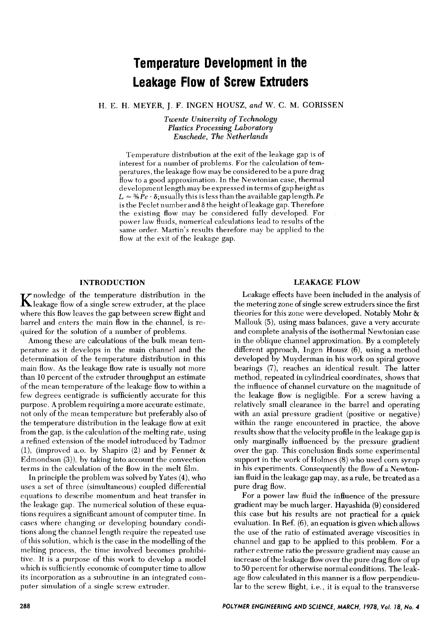# **Temperature Development in the Leakage Flow of Screw Extruders**

H. E. H. MEYER, J. **F.** INGEN HOUSZ, *and* **W.** *C.* M. GORISSEN

*Twente University* of *Technology Plastics Processing Laboratory Enschede, The Netherlands* 

Temperature distribution at the exit of the leakage gap is of interest for a number of problems. For the calculation of temperatures, the leakage flow may be considered to be a pure drag flow to a good approximation. In the Newtonian case, thermal development length may be expressed in terms of gap height as  $L \approx$  % $\hat{Pe} \cdot \delta$ ; usually this is less than the available gap length. *Pe* is the Peclet number and  $\delta$  the height of leakage gap. Therefore the existing flow may be considered fully developed. For power law fluids, numerical calculations lead to results of the same order. Martin's results therefore may be applied to the flow at the exit of the leakage gap.

#### INTRODUCTION

 $\mathbf K$  nowledge of the temperature distribution in the R leakage flow of a single screw extruder, at the place where this flow leaves the gap between screw flight and barrel and enters the main flow in the channel, is required for the solution of a number of problems.

Among these are calculations of the bulk mean temperature as it develops in the main channel and the determination of the temperature distribution in this main flow. As the leakage flow rate is usually not more than 10 percent of the extruder throughput an estimate of the mean temperature of the leakage flow to within a few degrees centigrade is sufficiently accurate for this purpose. A problem requiring a more accurate estimate, not only of the mean temperature but preferably also of the temperature distribution in the leakage flow at exit from the gap, is the calculation of the melting rate, using a refined extension of the model introduced by Tadmor (l), (improved a.o. by Shapiro (2) and by Fenner & Edmondson **(3)),** by taking into account the convection terms in the calculation of the flow in the melt film.

In principle the problem was solved by Yates **(4),** who uses a set of three (simultaneous) coupled differential equations to describe momentum and heat transfer in the leakage gap. The numerical solution of these equations requires a significant amount of computer time. In cases where changing or developing boundary conditions along the channel length require the repeated use of this solution, which is the case in the modelling of the melting process, the time involved becomes prohibitive. It is a purpose of this work to develop a model which is sufficiently economic of computer time to allow its incorporation as a subroutine in an integrated computer simulation of a single screw extruder.

## **LEAKAGE FLOW**

Leakage effects have been included in the analysis of the metering zone of single screw extruders since the first theories for this zone were developed. Notably Mohr & Mallouk (5), using mass balances, gave a very accurate and complete analysis of the isothermal Newtonian case in the oblique channel approximation. By a completely different approach, Ingen Housz *(6),* using a method developed by Muyderman in his work on spiral groove bearings *(7),* reaches an identical result. The latter method, repeated in cylindrical coordinates, shows that the influence of channel curvature on the magnitude of the leakage flow is negligible. For a screw having a relatively small clearance in the barrel and operating with an axial pressure gradient (positive or negative) within the range encountered in practice, the above results show that the velocity profile in the leakage gap is only marginally influenced by the pressure gradient over the gap. This conclusion finds some experimental support in the work of Holmes (8) who used corn syrup in his experiments. Consequently the flow of a Newtonian fluid in the leakage gap may, as a rule, be treated as a pure drag flow.

For a power law fluid the influence of the pressure gradient may be much larger. Hayashida (9) considered this case but his results are not practical for a quick evaluation. In Ref. *(6),* an equation is given which allows the use of the ratio of estimated average viscosities in channel and gap to be applied to this problem. For a rather extreme ratio the pressure gradient may cause an increase of the leakage flow over the pure drag flow of up to 50 percent for otherwise normal conditions. The leakage flow calculated in this manner is a flow perpendicular to the screw flight, i.e., it is equal to the transverse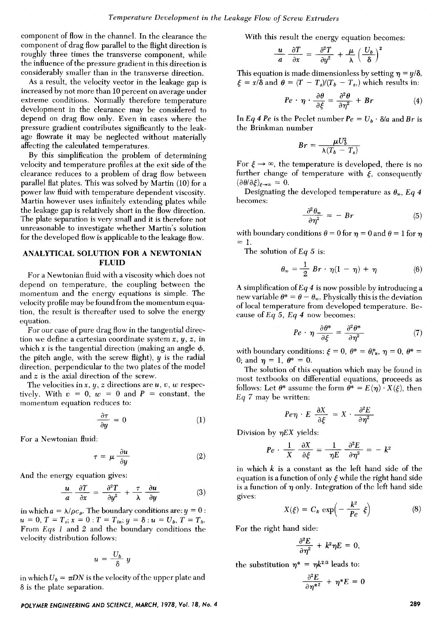component of flow in the channel. In the clearance the component of drag flow parallel to the flight direction is roughly three times the transverse component, while the influence of the pressure gradient in this direction is considerably smaller than in the transverse direction.

**As** a result, the velocity vector in the leakage gap is increased by not more than **10** percent on average under extreme conditions. Normally therefore temperature development in the clearance may be considered to depend on drag flow only. Even in cases where the pressure gradient contributes significantly to the leakage flowrate it may be neglected without materially affecting the calculated temperatures.

By this simplification the problem of determining velocity and temperature profiles at the exit side of the clearance reduces to a problem of drag flow between parallel flat plates. This was solved by Martin (10) for a power law fluid with temperature dependent viscosity. Martin however uses infinitely extending plates while the leakage gap is relatively short in the flow direction. The plate separation is very small and it is therefore not unreasonable to investigate whether Martin's solution for the developed flow is applicable to the leakage flow.

#### **ANALYTICAL SOLUTION FOR A NEWTONIAN FLUID**

For a Newtonian fluid with a viscosity which does not depend on temperature, the coupling between the momentum and the energy equations is simple. The velocity profile may be found from the momentum equation, the result is thereafter used to solve the energy equation.

For our case of pure drag flow in the tangential direction we define a cartesian coordinate system  $x, y, z,$  in which  $x$  is the tangential direction (making an angle  $\phi$ , the pitch angle, with the screw flight),  $y$  is the radial direction, perpendicular to the two plates of the model and *z* is the axial direction of the screw.

The velocities in  $x, y, z$  directions are  $u, v, w$  respectively. With  $v = 0$ ,  $w = 0$  and  $P = constant$ , the momentum equation reduces to:

$$
\frac{\partial \tau}{\partial y} = 0 \tag{1}
$$

For a Newtonian fluid:

$$
\tau = \mu \frac{\partial u}{\partial y} \tag{2}
$$

And the energy equation gives:

$$
\frac{u}{a} \frac{\partial T}{\partial x} = \frac{\partial^2 T}{\partial y^2} + \frac{\tau}{\lambda} \frac{\partial u}{\partial y}
$$
 (3)

in which  $a = \lambda/\rho c_p$ . The boundary conditions are:  $y = 0$ : From Eys *1* and *2* and the boundary conditions the velocity distribution follows:  $u = 0, T = T_s, x = 0: T = T_{in}, y = \delta: u = U_b, T = T_b.$ 

$$
u=\frac{U_b}{\delta} y
$$

in which  $U_b = \pi DN$  is the velocity of the upper plate and  $\delta$  is the plate separation.

## *POLYMER ENGINEERING AND SCIENCE, MARCH, 1978, Vol. 18, No.* **4** *289*

With this result the energy equation becomes:

$$
\frac{u}{a} \frac{\partial T}{\partial x} = \frac{\partial^2 T}{\partial y^2} + \frac{\mu}{\lambda} \left(\frac{U_b}{\delta}\right)^2
$$

This equation is made dimensionless by setting  $\eta = y/\delta$ ,  $\xi = x/\delta$  and  $\theta = (T - T_s)/(T_b - T_s)$ , which results in:

$$
Pe \cdot \eta \cdot \frac{\partial \theta}{\partial \xi} = \frac{\partial^2 \theta}{\partial \eta^2} + Br \qquad (4)
$$

In *Eq 4 Pe* is the Peclet number  $Pe = U_b \cdot \delta/a$  and *Br* is the Brinkman number

$$
Br = \frac{\mu U_b^2}{\lambda (T_b - T_s)}
$$

For  $\xi \rightarrow \infty$ , the temperature is developed, there is no further change of temperature with  $\xi$ , consequently  $(\partial \theta / \partial \xi)_{\xi \to \infty} = 0.$ 

Designating the developed temperature as  $\theta_{\infty}$ , *Eq 4* becomes:

$$
\frac{\partial^2 \theta_{\infty}}{\partial \eta^2} = - Br \tag{5}
$$

with boundary conditions  $\theta = 0$  for  $\eta = 0$  and  $\theta = 1$  for  $\eta$  $= 1.$ 

The solution of Eq 5 is:  
\n
$$
\theta_{\infty} = \frac{1}{2} Br \cdot \eta (1 - \eta) + \eta
$$
\n(6)

**A** simplification of **Ey** *4* is now possible by introducing a new variable  $\theta^* = \theta - \theta_{\infty}$ . Physically this is the deviation of local temperature from developed temperature. Because of **Ey** 5, **Ey** *4* now becomes:

$$
Pe \cdot \eta \frac{\partial \theta^*}{\partial \xi} = \frac{\partial^2 \theta^*}{\partial \eta^2} \tag{7}
$$

with boundary conditions:  $\xi = 0$ ,  $\theta^* = \theta_{in}^*, \eta = 0$ ,  $\theta^* = \theta_{in}^*$ 0; and  $\eta = 1$ ,  $\theta^* = 0$ .

The solution of this equation which may be found in most textbooks on differential equations, proceeds as follows: Let  $\theta^*$  assume the form  $\theta^* = E(\eta) \cdot X(\xi)$ , then **Ey** 7 may be written:

$$
Pe\eta \cdot E \frac{\partial X}{\partial \xi} = X \cdot \frac{\partial^2 E}{\partial \eta^2}
$$

Division by *qEX* yields:

$$
Pe \cdot \frac{1}{X} \frac{\partial X}{\partial \xi} = \frac{1}{\eta E} \frac{\partial^2 E}{\partial \eta^2} = -k^2
$$

in which *k* is a constant as the left hand side of the equation is a function of only  $\xi$  while the right hand side is a function of  $\eta$  only. Integration of the left hand side gives: v

$$
X(\xi) = C_k \exp\left(-\frac{k^2}{Pe} \xi\right) \tag{8}
$$

For the right hand side:

$$
\frac{\partial^2 E}{\partial \eta^2} + k^2 \eta E = 0,
$$

the substitution  $\eta^* = \eta k^{2/3}$  leads to:

$$
\frac{\partial^2 E}{\partial \eta^{*2}} + \eta^* E = 0
$$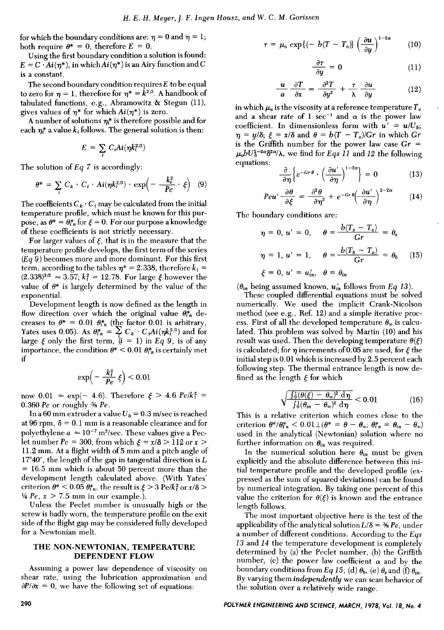for which the boundary conditions are:  $\eta = 0$  and  $\eta = 1$ ; both require  $\theta^* = 0$ , therefore  $E = 0$ .

Using the first boundary condition a solution is found:  $E = C \cdot Ai(\eta^*)$ , in which  $Ai(\eta^*)$  is an Airy function and C is a constant.

The second boundary condition requires *E* to be equal to zero for  $\eta = 1$ , therefore for  $\eta^* = k^{2/3}$ . A handbook of tabulated functions, e.g., Abramowitz & Stegun  $(11)$ , gives values of  $\eta^*$  for which  $Ai(\eta^*)$  is zero.

A number of solutions  $\eta_i^*$  is therefore possible and for each  $\eta^*$  a value  $k_i$  follows. The general solution is then:

$$
E = \sum_i C_i Ai(\eta k_i^{2/3})
$$

The solution of E9 **7** is accordingly:

solution of Eq. 1 is accordingly:  
\n
$$
\theta^* = \sum_i C_k \cdot C_i \cdot Ai(\eta k_i^{2/3}) \cdot \exp\left(-\frac{k_i^2}{Pe} \cdot \xi\right) \quad (9)
$$

The coefficients  $C_k \cdot C_i$  may be calculated from the initial temperature profile, which must be known for this purpose, as  $\theta^* = \theta_{i,n}^*$  for  $\xi = 0$ . For our purpose a knowledge of these coefficients is not strictly necessary.

For larger values of  $\xi$ , that is in the measure that the temperature profile develops, the first term of the series  $(Eq \ 9)$  becomes more and more dominant. For this first term, according to the tables  $\eta^* = 2.338$ , therefore  $k_1 =$  $(2.338)^{3/2} \approx 3.57$ ;  $k_1^2 = 12.78$ . For large  $\xi$  however the value of  $\theta^*$  is largely determined by the value of the exponential.

Development length is now defined as the length in flow direction over which the original value  $\theta_{i,n}^*$  decreases to  $\theta^* = 0.01 \theta_{in}^*$  (the factor 0.01 is arbitrary, Yates uses 0.05). As  $\theta_{i,n}^* = \sum_i C_k \cdot C_i Ai(\eta k_i^2)^3$  and for large  $\xi$  only the first term,  $(i = 1)$  in Eq 9, is of any importance, the condition  $\theta^*$  < 0.01  $\theta^*_{i,n}$  is certainly met if

$$
\exp\!\left(-\frac{k_1^2}{Pe}\,\xi\right) < 0.01
$$

now  $0.01 \approx \exp(-4.6)$ . Therefore  $\xi > 4.6$  Pe/k<sup>2</sup> = 0.360 *Pe* or roughly % *Pe.* 

In a 60 mm extruder a value  $U_b = 0.3$  m/sec is reached at 96 rpm,  $\delta = 0.1$  mm is a reasonable clearance and for polyethylene  $a \approx 10^{-7}$  m<sup>2</sup>/sec. These values give a Peclet number  $Pe = 300$ , from which  $\xi = x/\delta > 112$  or  $x >$ 11.2 mm. At a flight width of *5* mm and a pitch angle of  $17^{\circ}40'$ , the length of the gap in tangential direction is L = 16.5 mm which is about **50** percent more than the development length calculated above. (With Yates' criterion  $\theta^*$  < 0.05  $\theta_{in}^*$ , the result is  $\xi > 3 \text{ Pe}/k_1^2$  or  $x/\delta$  >  $\frac{1}{4}$  *Pe*,  $x > 7.5$  mm in our example.).

Unless the Peclet number is unusually high or the screw is badly worn, the temperature profile on the exit side of the flight gap may be considered fully developed for a Newtonian melt.

#### **THE NON-NEWTONIAN, TEMPERATURE DEPENDENT FLOW**

Assuming a power law dependence of viscosity on shear rate, using the lubrication approximation and  $\frac{\partial P}{\partial x} = 0$ , we have the following set of equations:

$$
\tau = \mu_o \exp\{(-b(T - T_o)) \left(\frac{\partial u}{\partial y}\right)^{1-2\alpha} \qquad (10)
$$

$$
\frac{\partial \tau}{\partial y} = 0 \tag{11}
$$

**I** 

$$
\frac{u}{a} \frac{\partial T}{\partial x} = \frac{\partial^2 T}{\partial y^2} + \frac{\tau}{\lambda} \frac{\partial u}{\partial y}
$$
 (12)

in which  $\mu_o$  is the viscosity at a reference temperature  $T_o$ and a shear rate of 1 sec<sup>-1</sup> and  $\alpha$  is the power law coefficient. In dimensionless form with  $u' = u/U_b$ ;  $\eta = y/\delta$ ;  $\xi = x/\delta$  and  $\theta = b(T - T_o)/G_r$  in which  $Gr$ is the Griffith number for the power law case  $Gr =$  $\mu_{0}bU_{b}^{2-\alpha}\delta^{2\alpha/\lambda}$ , we find for *Eqs 11* and 12 the following equations:

$$
\frac{\partial}{\partial \eta} \left\{ e^{-Gr\theta} \cdot \left( \frac{\partial u'}{\partial \eta} \right)^{1-2\alpha} \right\} = 0 \tag{13}
$$

$$
Peu' \frac{\partial \theta}{\partial \xi} = \frac{\partial^2 \theta}{\partial \eta^2} + e^{-Gr \theta} \left(\frac{\partial u'}{\partial \eta}\right)^{2-2\alpha} \tag{14}
$$

The boundary conditions are:

$$
\eta = 0, u' = 0, \quad \theta = \frac{b(T_s - T_o)}{Gr} = \theta_s
$$

$$
\eta = 1, u' = 1, \quad \theta = \frac{b(T_b - T_o)}{Gr} = \theta_b \quad (15)
$$

$$
\xi = 0, u' = u'_{in}, \quad \theta = \theta_{in}
$$

 $(\theta_{in}$  being assumed known,  $u'_{in}$  follows from Eq 13).

These coupled differential equations must be solved numerically. We used the implicit Crank-Nicolson method (see e.g., Ref. 12) and a simple iterative process. First of all the developed temperature  $\theta_{\infty}$  is calculated. This problem was solved by Martin (10) and his result was used. Then the developing temperature  $\theta(\xi)$ is calculated; for  $\eta$  increments of 0.05 are used, for  $\xi$  the initial step is 0.01 which is increased by 2.5 percent each following step. The thermal entrance length is now defined as the length  $\xi$  for which

$$
\sqrt{\frac{\int_0^1 (\theta(\xi) - \theta_\infty)^2 \, d\eta}{\int_0^1 (\theta_{in} - \theta_\infty)^2 \, d\eta}} < 0.01 \tag{16}
$$

This is a relative criterion which comes close to the criterion  $\theta^*/\theta_{in}^* < 0.01 \perp (\theta^* = \theta - \theta_{\infty}; \theta_{in}^* = \theta_{in} - \theta_{\infty})$ used in the analytical (Newtonian) solution where no further information on  $\theta_{in}$  was required.

In the numerical solution here  $\theta_{in}$  must be given explicitly and the absolute difference between this initial temperature profile and the developed profile (expressed as the sum of squared deviations) can be found by numerical integration. By taking one percent of this value the criterion for  $\theta(\xi)$  is known and the entrance length follows.

The most important objective here is the test of the applicability of the analytical solution  $L/\delta = \frac{4}{3} Pe$ , under a number of different conditions. According to the Eys *13* and *14* the temperature development is completely determined by (a) the Peclet number, (b) the Griffith number, (c) the power law coefficient  $\alpha$  and by the boundary conditions from Eq 15, (d)  $\theta_b$ , (e)  $\theta_s$  and **(f)**  $\theta_{in}$ . By varying them *independently* we can scan behavior of the solution over a relatively wide range.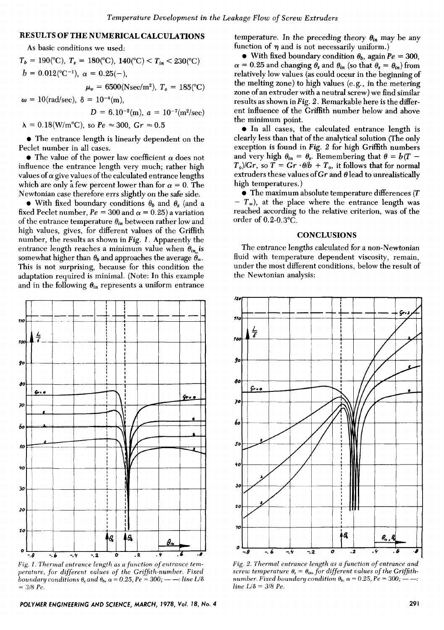# **RESULTS OF THE NUMERICAL CALCULATIONS**

**As** basic conditions we used:

 $T_b = 190\text{°C}$ ,  $T_s = 180\text{°C}$ ,  $140\text{°C}$   $\leq T_{in} \leq 230\text{°C}$  $b = 0.012$ <sup>( $\degree$ C<sup>-1</sup>),  $\alpha = 0.25(-)$ ,</sup>  $\mu_o = 6500(Nsec/m^2), T_o = 185(^{\circ}\text{C})$  $\omega = 10 \text{(rad/sec)}$ ,  $\delta = 10^{-4} \text{(m)}$ .

$$
D = 6.10^{-2} \text{(m)}, a = 10^{-7} \text{(m}^2/\text{sec})
$$

 $\lambda = 0.18$ (W/m<sup>o</sup>C), so  $Pe \approx 300$ ,  $Gr \approx 0.5$ 

The entrance length is linearly dependent on the Peclet number in all cases.

 $\bullet$  The value of the power law coefficient  $\alpha$  does not influence the entrance length very much; rather high values of  $\alpha$  give values of the calculated entrance lengths which are only a few percent lower than for  $\alpha = 0$ . The Newtonian case therefore errs slightly on the safe side.

• With fixed boundary conditions  $\theta_b$  and  $\theta_s$  (and a fixed Peclet number,  $Pe = 300$  and  $\alpha = 0.25$ ) a variation of the entrance temperature  $\theta_{in}$  between rather low and high values, gives, for different values of the Griffith number, the results as shown in *Fig. 1.* Apparently the entrance length reaches a minimum value when  $\theta_{in}$  is somewhat higher than  $\theta_b$  and approaches the average  $\bar{\theta}_{\infty}$ . This is not surprising, because for this condition the adaptation required is minimal. (Note: In this example and in the following  $\theta_{in}$  represents a uniform entrance



*Fig. 1. Thermul entrance length us u function of entrance temperature, for different values of the Griffith-number. Fixed boundary conditions*  $θ_s$  *and*  $θ_b$ *,*  $α = 0.25$ *,*  $Pe = 300$ *; ----: line L/δ* = *318 Pe.* 

temperature. In the preceding theory  $\theta_{in}$  may be any function of  $\eta$  and is not necessarily uniform.)

• With fixed boundary condition  $\theta_b$ , again  $Pe = 300$ ,  $\alpha = 0.25$  and changing  $\theta_s$  and  $\theta_{in}$  (so that  $\theta_s = \theta_{in}$ ) from relatively low values (as could occur in the beginning of the melting zone) to high values (e.g., in the metering zone of an extruder with a neutral screw) we find similar results as shown in *Fig. 2.* Remarkable here is the different influence of the Griffith number below and above the minimum point.

In all cases, the calculated entrance length is clearly less than that of the analytical solution (The only exception is found in *Fig. 2* for high Griffith numbers and very high  $\theta_{in} = \theta_s$ . Remembering that  $\theta = b(T T_p$ /*Gr,* so  $\overline{T} = \overline{G}r \cdot \theta/b + T_p$ , it follows that for normal extruders these values of  $Gr$  and  $\theta$  lead to unrealistically high temperatures. )

The maximum absolute temperature differences *(T*   $- T_{\infty}$ ), at the place where the entrance length was reached according to the relative criterion, was of the order of  $0.2$ - $0.3$ °C.

#### **CONCLUSIONS**

The entrance lengths calculated for a non-Newtonian fluid with temperature dependent viscosity, remain, under the most different conditions, below the result of the Newtonian analysis:



*Fig. 2. Thernial entrance length as a function of entrance and*   $Fig. 2. The *rmal entrance length as a function of entrance an score temperature*  $\theta_s = \theta_{in}$ , for different values of the *Griffith number. Fixed boundary condition*  $\theta_b$ ,  $\alpha = 0.25$ ,  $Pe = 300$ ;  $--$$  $line L/\delta = 3/8$  *Pe.*